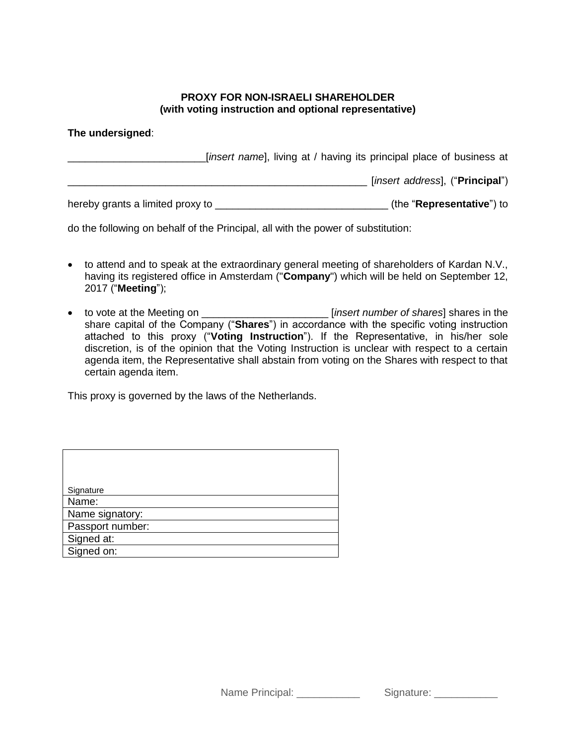## **PROXY FOR NON-ISRAELI SHAREHOLDER (with voting instruction and optional representative)**

## **The undersigned**:

|                                  | [insert name], living at / having its principal place of business at |                                    |  |
|----------------------------------|----------------------------------------------------------------------|------------------------------------|--|
|                                  |                                                                      | [insert address], ("Principal")    |  |
| hereby grants a limited proxy to |                                                                      | (the " <b>Representative</b> ") to |  |

do the following on behalf of the Principal, all with the power of substitution:

- to attend and to speak at the extraordinary general meeting of shareholders of Kardan N.V., having its registered office in Amsterdam ("**Company**") which will be held on September 12, 2017 ("**Meeting**");
- to vote at the Meeting on \_\_\_\_\_\_\_\_\_\_\_\_\_\_\_\_\_\_\_\_\_\_ [*insert number of shares*] shares in the share capital of the Company ("**Shares**") in accordance with the specific voting instruction attached to this proxy ("**Voting Instruction**"). If the Representative, in his/her sole discretion, is of the opinion that the Voting Instruction is unclear with respect to a certain agenda item, the Representative shall abstain from voting on the Shares with respect to that certain agenda item.

This proxy is governed by the laws of the Netherlands.

| Signature        |
|------------------|
| Name:            |
| Name signatory:  |
| Passport number: |
| Signed at:       |
| Signed on:       |

Name Principal: \_\_\_\_\_\_\_\_\_\_\_\_\_\_ Signature: \_\_\_\_\_\_\_\_\_\_\_\_